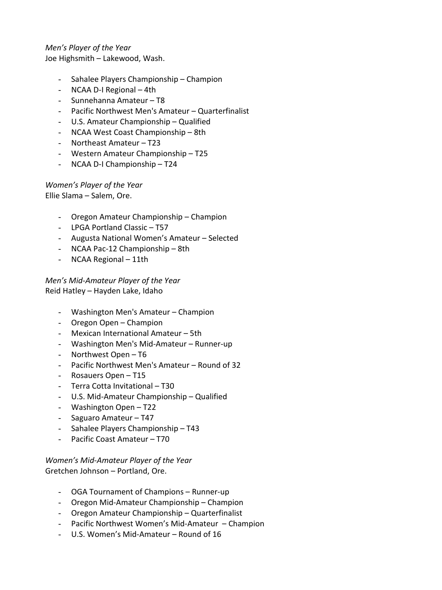## *Men's Player of the Year* Joe Highsmith – Lakewood, Wash.

- Sahalee Players Championship Champion
- NCAA D-I Regional 4th
- Sunnehanna Amateur T8
- Pacific Northwest Men's Amateur Quarterfinalist
- U.S. Amateur Championship Qualified
- NCAA West Coast Championship 8th
- Northeast Amateur T23
- Western Amateur Championship T25
- NCAA D-I Championship T24

*Women's Player of the Year* Ellie Slama – Salem, Ore.

- Oregon Amateur Championship Champion
- LPGA Portland Classic T57
- Augusta National Women's Amateur Selected
- NCAA Pac-12 Championship 8th
- NCAA Regional 11th

*Men's Mid-Amateur Player of the Year* Reid Hatley – Hayden Lake, Idaho

- Washington Men's Amateur Champion
- Oregon Open Champion
- Mexican International Amateur 5th
- Washington Men's Mid-Amateur Runner-up
- Northwest Open T6
- Pacific Northwest Men's Amateur Round of 32
- Rosauers Open T15
- Terra Cotta Invitational T30
- U.S. Mid-Amateur Championship Qualified
- Washington Open T22
- Saguaro Amateur T47
- Sahalee Players Championship T43
- Pacific Coast Amateur T70

*Women's Mid-Amateur Player of the Year* Gretchen Johnson – Portland, Ore.

- OGA Tournament of Champions Runner-up
- Oregon Mid-Amateur Championship Champion
- Oregon Amateur Championship Quarterfinalist
- Pacific Northwest Women's Mid-Amateur Champion
- U.S. Women's Mid-Amateur Round of 16